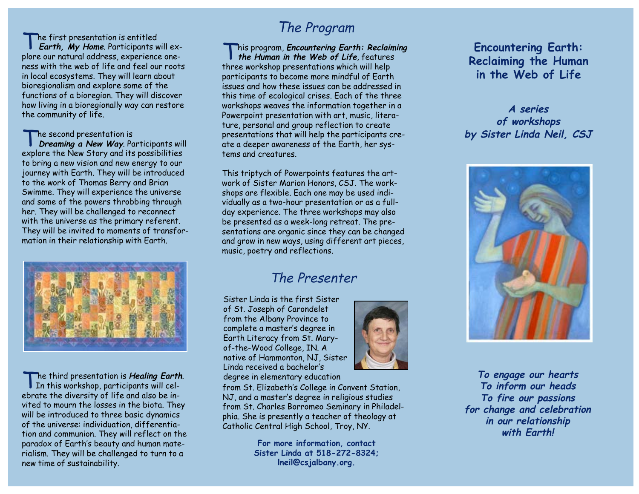The first presentation is entitled **Earth, My Home**. Participants will explore our natural address, experience oneness with the web of life and feel our roots in local ecosystems. They will learn about bioregionalism and explore some of the functions of a bioregion. They will discover how living in a bioregionally way can restore the community of life.

The second presentation is **Dreaming a New Way**. Participants will explore the New Story and its possibilities to bring a new vision and new energy to our journey with Earth. They will be introduced to the work of Thomas Berry and Brian Swimme. They will experience the universe and some of the powers throbbing through her. They will be challenged to reconnect with the universe as the primary referent. They will be invited to moments of transformation in their relationship with Earth.



The third presentation is **Healing Earth**.<br>In this workshop, participants will celebrate the diversity of life and also be invited to mourn the losses in the biota. They will be introduced to three basic dynamics of the universe: individuation, differentiation and communion. They will reflect on the paradox of Earth's beauty and human materialism. They will be challenged to turn to a new time of sustainability.

# The Program

This program, **Encountering Earth: Reclaiming the Human in the Web of Life**, features three workshop presentations which will help participants to become more mindful of Earth issues and how these issues can be addressed in this time of ecological crises. Each of the three workshops weaves the information together in a Powerpoint presentation with art, music, literature, personal and group reflection to create presentations that will help the participants create a deeper awareness of the Earth, her systems and creatures.

This triptych of Powerpoints features the artwork of Sister Marion Honors, CSJ. The workshops are flexible. Each one may be used individually as a two-hour presentation or as a fullday experience. The three workshops may also be presented as a week-long retreat. The presentations are organic since they can be changed and grow in new ways, using different art pieces, music, poetry and reflections.

## The Presenter

Sister Linda is the first Sister of St. Joseph of Carondelet from the Albany Province to complete a master's degree in Earth Literacy from St. Maryof-the-Wood College, IN. A native of Hammonton, NJ, Sister Linda received a bachelor's degree in elementary education



from St. Elizabeth's College in Convent Station, NJ, and a master's degree in religious studies from St. Charles Borromeo Seminary in Philadelphia. She is presently a teacher of theology at Catholic Central High School, Troy, NY.

> **For more information, contact Sister Linda at 518-272-8324; lneil@csjalbany.org.**

**Encountering Earth: Reclaiming the Human in the Web of Life**

## **A series of workshops by Sister Linda Neil, CSJ**



**To engage our hearts To inform our heads To fire our passions for change and celebration in our relationship with Earth!**